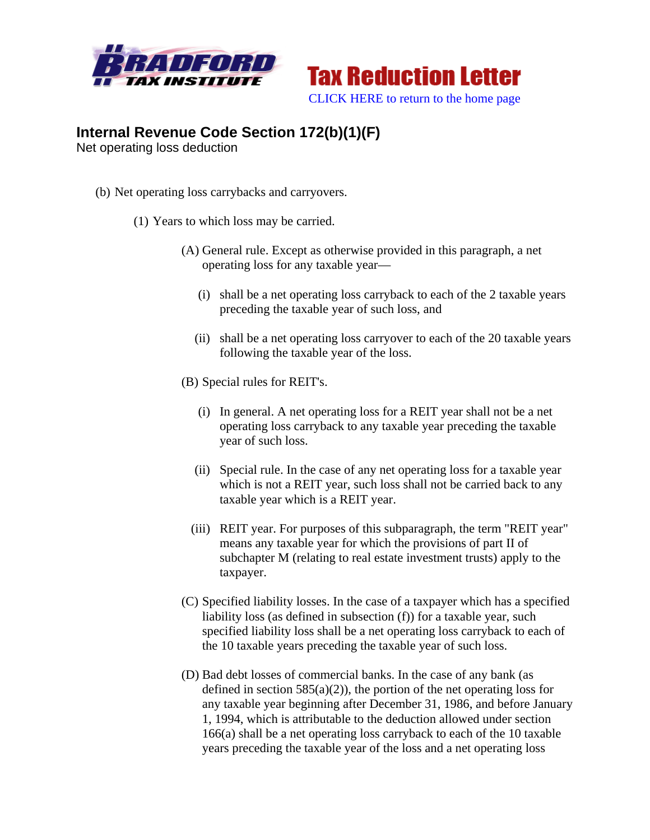



## **Internal Revenue Code Section 172(b)(1)(F)**

Net operating loss deduction

- (b) Net operating loss carrybacks and carryovers.
	- (1) Years to which loss may be carried.
		- (A) General rule. Except as otherwise provided in this paragraph, a net operating loss for any taxable year—
			- (i) shall be a net operating loss carryback to each of the 2 taxable years preceding the taxable year of such loss, and
			- (ii) shall be a net operating loss carryover to each of the 20 taxable years following the taxable year of the loss.
		- (B) Special rules for REIT's.
			- (i) In general. A net operating loss for a REIT year shall not be a net operating loss carryback to any taxable year preceding the taxable year of such loss.
			- (ii) Special rule. In the case of any net operating loss for a taxable year which is not a REIT year, such loss shall not be carried back to any taxable year which is a REIT year.
			- (iii) REIT year. For purposes of this subparagraph, the term "REIT year" means any taxable year for which the provisions of part II of subchapter M (relating to real estate investment trusts) apply to the taxpayer.
		- (C) Specified liability losses. In the case of a taxpayer which has a specified liability loss (as defined in subsection (f)) for a taxable year, such specified liability loss shall be a net operating loss carryback to each of the 10 taxable years preceding the taxable year of such loss.
		- (D) Bad debt losses of commercial banks. In the case of any bank (as defined in section  $585(a)(2)$ , the portion of the net operating loss for any taxable year beginning after December 31, 1986, and before January 1, 1994, which is attributable to the deduction allowed under section 166(a) shall be a net operating loss carryback to each of the 10 taxable years preceding the taxable year of the loss and a net operating loss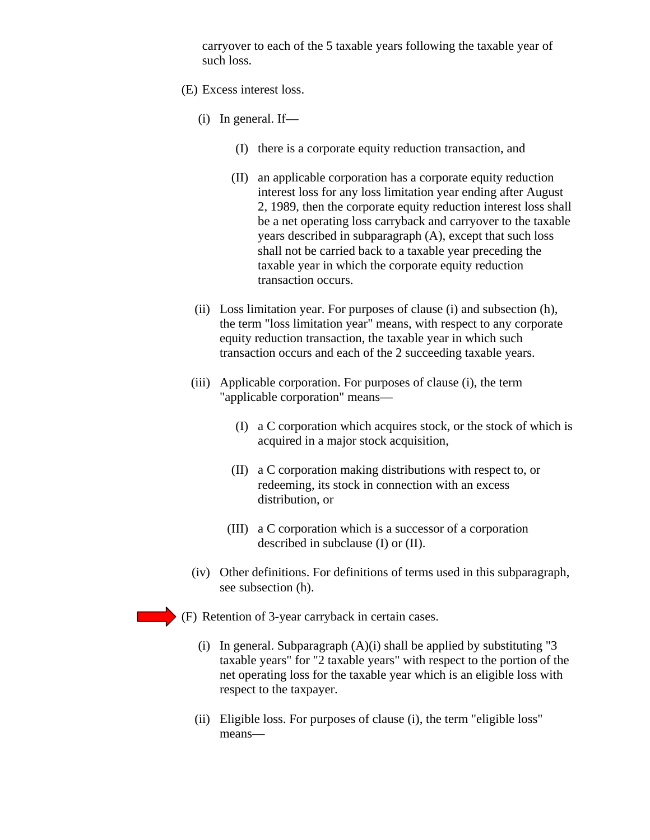carryover to each of the 5 taxable years following the taxable year of such loss.

- (E) Excess interest loss.
	- (i) In general. If—
		- (I) there is a corporate equity reduction transaction, and
		- (II) an applicable corporation has a corporate equity reduction interest loss for any loss limitation year ending after August 2, 1989, then the corporate equity reduction interest loss shall be a net operating loss carryback and carryover to the taxable years described in subparagraph (A), except that such loss shall not be carried back to a taxable year preceding the taxable year in which the corporate equity reduction transaction occurs.
	- (ii) Loss limitation year. For purposes of clause (i) and subsection (h), the term "loss limitation year" means, with respect to any corporate equity reduction transaction, the taxable year in which such transaction occurs and each of the 2 succeeding taxable years.
	- (iii) Applicable corporation. For purposes of clause (i), the term "applicable corporation" means—
		- (I) a C corporation which acquires stock, or the stock of which is acquired in a major stock acquisition,
		- (II) a C corporation making distributions with respect to, or redeeming, its stock in connection with an excess distribution, or
		- (III) a C corporation which is a successor of a corporation described in subclause (I) or (II).
	- (iv) Other definitions. For definitions of terms used in this subparagraph, see subsection (h).
- (F) Retention of 3-year carryback in certain cases.
	- (i) In general. Subparagraph  $(A)(i)$  shall be applied by substituting "3 taxable years" for "2 taxable years" with respect to the portion of the net operating loss for the taxable year which is an eligible loss with respect to the taxpayer.
	- (ii) Eligible loss. For purposes of clause (i), the term "eligible loss" means—